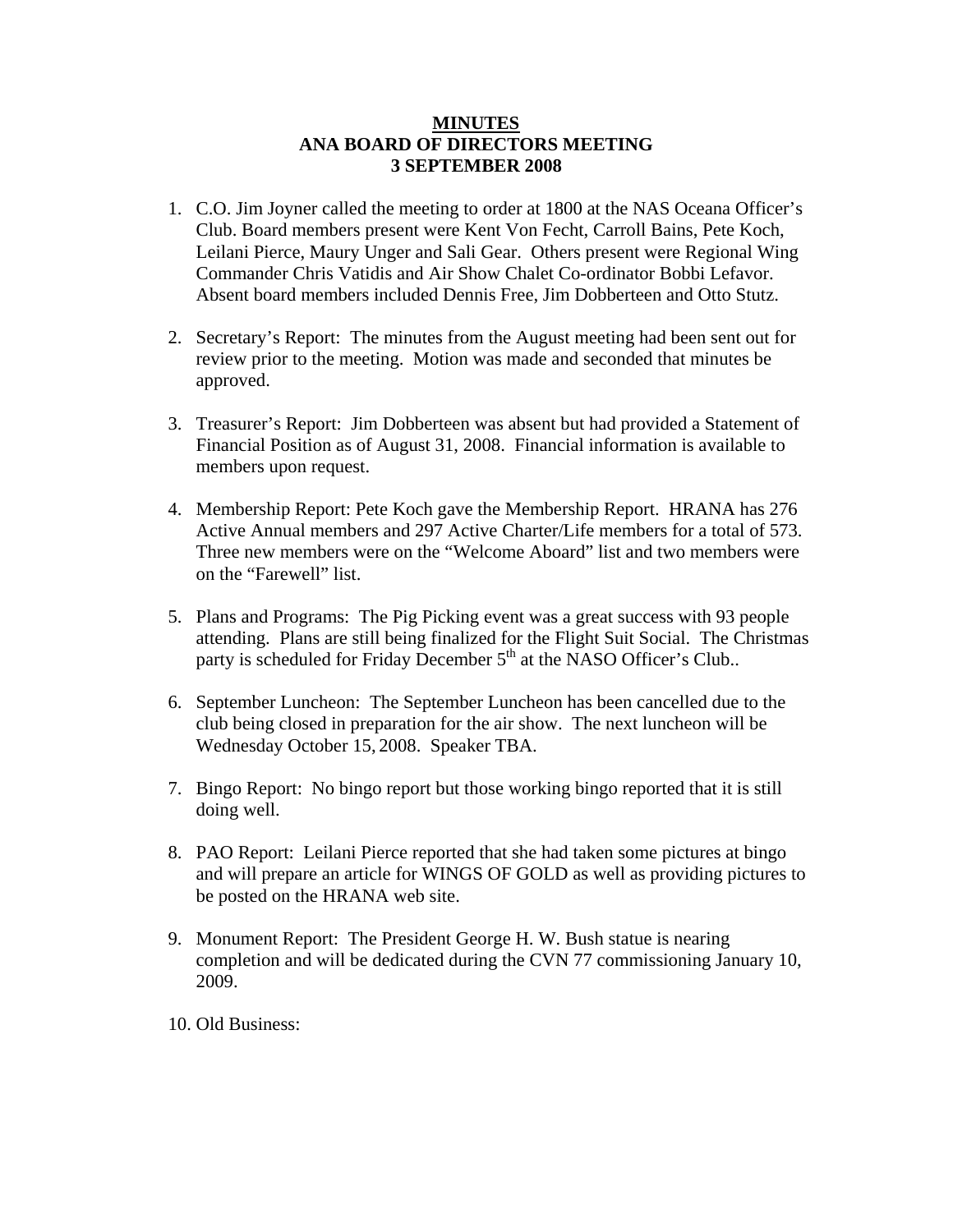## **MINUTES ANA BOARD OF DIRECTORS MEETING 3 SEPTEMBER 2008**

- 1. C.O. Jim Joyner called the meeting to order at 1800 at the NAS Oceana Officer's Club. Board members present were Kent Von Fecht, Carroll Bains, Pete Koch, Leilani Pierce, Maury Unger and Sali Gear. Others present were Regional Wing Commander Chris Vatidis and Air Show Chalet Co-ordinator Bobbi Lefavor. Absent board members included Dennis Free, Jim Dobberteen and Otto Stutz.
- 2. Secretary's Report: The minutes from the August meeting had been sent out for review prior to the meeting. Motion was made and seconded that minutes be approved.
- 3. Treasurer's Report: Jim Dobberteen was absent but had provided a Statement of Financial Position as of August 31, 2008. Financial information is available to members upon request.
- 4. Membership Report: Pete Koch gave the Membership Report. HRANA has 276 Active Annual members and 297 Active Charter/Life members for a total of 573. Three new members were on the "Welcome Aboard" list and two members were on the "Farewell" list.
- 5. Plans and Programs: The Pig Picking event was a great success with 93 people attending. Plans are still being finalized for the Flight Suit Social. The Christmas party is scheduled for Friday December  $5<sup>th</sup>$  at the NASO Officer's Club..
- 6. September Luncheon: The September Luncheon has been cancelled due to the club being closed in preparation for the air show. The next luncheon will be Wednesday October 15, 2008. Speaker TBA.
- 7. Bingo Report: No bingo report but those working bingo reported that it is still doing well.
- 8. PAO Report: Leilani Pierce reported that she had taken some pictures at bingo and will prepare an article for WINGS OF GOLD as well as providing pictures to be posted on the HRANA web site.
- 9. Monument Report: The President George H. W. Bush statue is nearing completion and will be dedicated during the CVN 77 commissioning January 10, 2009.
- 10. Old Business: